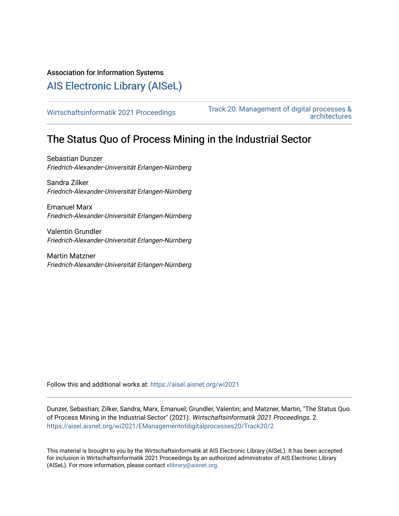## Association for Information Systems

# [AIS Electronic Library \(AISeL\)](https://aisel.aisnet.org/)

[Wirtschaftsinformatik 2021 Proceedings](https://aisel.aisnet.org/wi2021) [Track 20: Management of digital processes &](https://aisel.aisnet.org/wi2021/EManagementofdigitalprocesses20)  [architectures](https://aisel.aisnet.org/wi2021/EManagementofdigitalprocesses20) 

## The Status Quo of Process Mining in the Industrial Sector

Sebastian Dunzer Friedrich-Alexander-Universität Erlangen-Nürnberg

Sandra Zilker Friedrich-Alexander-Universität Erlangen-Nürnberg

Emanuel Marx Friedrich-Alexander-Universität Erlangen-Nürnberg

Valentin Grundler Friedrich-Alexander-Universität Erlangen-Nürnberg

Martin Matzner Friedrich-Alexander-Universität Erlangen-Nürnberg

Follow this and additional works at: [https://aisel.aisnet.org/wi2021](https://aisel.aisnet.org/wi2021?utm_source=aisel.aisnet.org%2Fwi2021%2FEManagementofdigitalprocesses20%2FTrack20%2F2&utm_medium=PDF&utm_campaign=PDFCoverPages) 

Dunzer, Sebastian; Zilker, Sandra; Marx, Emanuel; Grundler, Valentin; and Matzner, Martin, "The Status Quo of Process Mining in the Industrial Sector" (2021). Wirtschaftsinformatik 2021 Proceedings. 2. [https://aisel.aisnet.org/wi2021/EManagementofdigitalprocesses20/Track20/2](https://aisel.aisnet.org/wi2021/EManagementofdigitalprocesses20/Track20/2?utm_source=aisel.aisnet.org%2Fwi2021%2FEManagementofdigitalprocesses20%2FTrack20%2F2&utm_medium=PDF&utm_campaign=PDFCoverPages)

This material is brought to you by the Wirtschaftsinformatik at AIS Electronic Library (AISeL). It has been accepted for inclusion in Wirtschaftsinformatik 2021 Proceedings by an authorized administrator of AIS Electronic Library (AISeL). For more information, please contact [elibrary@aisnet.org](mailto:elibrary@aisnet.org%3E).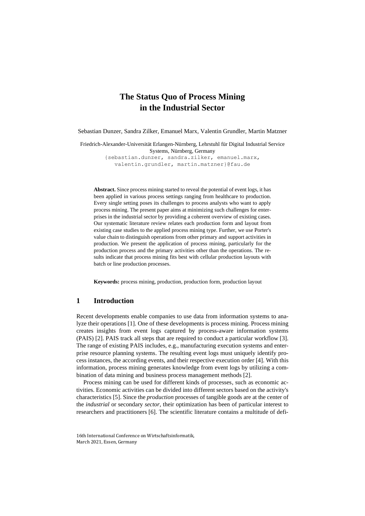## **The Status Quo of Process Mining in the Industrial Sector**

Sebastian Dunzer, Sandra Zilker, Emanuel Marx, Valentin Grundler, Martin Matzner

Friedrich-Alexander-Universität Erlangen-Nürnberg, Lehrstuhl für Digital Industrial Service Systems, Nürnberg, Germany {sebastian.dunzer, sandra.zilker, emanuel.marx, valentin.grundler, martin.matzner}@fau.de

**Abstract.** Since process mining started to reveal the potential of event logs, it has been applied in various process settings ranging from healthcare to production. Every single setting poses its challenges to process analysts who want to apply process mining. The present paper aims at minimizing such challenges for enterprises in the industrial sector by providing a coherent overview of existing cases. Our systematic literature review relates each production form and layout from existing case studies to the applied process mining type. Further, we use Porter's value chain to distinguish operations from other primary and support activities in production. We present the application of process mining, particularly for the production process and the primary activities other than the operations. The results indicate that process mining fits best with cellular production layouts with batch or line production processes.

**Keywords:** process mining, production, production form, production layout

#### **1 Introduction**

Recent developments enable companies to use data from information systems to analyze their operation[s \[1\].](#page-14-0) One of these developments is process mining. Process mining creates insights from event logs captured by process-aware information systems (PAIS) [\[2\].](#page-14-1) PAIS track all steps that are required to conduct a particular workflow [\[3\].](#page-14-2) The range of existing PAIS includes, e.g., manufacturing execution systems and enterprise resource planning systems. The resulting event logs must uniquely identify process instances, the according events, and their respective execution order [\[4\].](#page-14-3) With this information, process mining generates knowledge from event logs by utilizing a combination of data mining and business process management methods [\[2\].](#page-14-1)

Process mining can be used for different kinds of processes, such as economic activities. Economic activities can be divided into different sectors based on the activity's characteristics [\[5\].](#page-14-4) Since the *production* processes of tangible goods are at the center of the *industrial* or secondary *sector*, their optimization has been of particular interest to researchers and practitioners [\[6\].](#page-14-5) The scientific literature contains a multitude of defi-

<sup>16</sup>th International Conference on Wirtschaftsinformatik, March 2021, Essen, Germany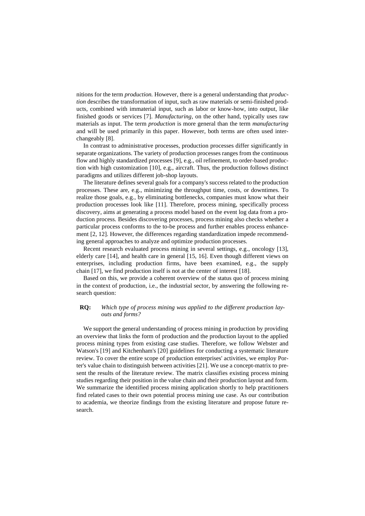nitions for the term *production.* However, there is a general understanding that *production* describes the transformation of input, such as raw materials or semi-finished products, combined with immaterial input, such as labor or know-how, into output, like finished goods or services [\[7\].](#page-14-6) *Manufacturing,* on the other hand, typically uses raw materials as input. The term *production* is more general than the term *manufacturing* and will be used primarily in this paper. However, both terms are often used interchangeabl[y \[8\].](#page-14-7)

In contrast to administrative processes, production processes differ significantly in separate organizations. The variety of production processes ranges from the continuous flow and highly standardized processes [\[9\],](#page-14-8) e.g., oil refinement, to order-based production with high customization [\[10\],](#page-14-9) e.g., aircraft. Thus, the production follows distinct paradigms and utilizes different job-shop layouts.

The literature defines several goals for a company's success related to the production processes. These are, e.g., minimizing the throughput time, costs, or downtimes. To realize those goals, e.g., by eliminating bottlenecks, companies must know what their production processes look like [\[11\].](#page-14-10) Therefore, process mining, specifically process discovery, aims at generating a process model based on the event log data from a production process. Besides discovering processes, process mining also checks whether a particular process conforms to the to-be process and further enables process enhancement [\[2](#page-14-1)[, 12\].](#page-14-11) However, the differences regarding standardization impede recommending general approaches to analyze and optimize production processes.

Recent research evaluated process mining in several settings, e.g., oncology [\[13\],](#page-14-12) elderly care [\[14\],](#page-14-13) and health care in general [\[15](#page-14-14)[, 16\].](#page-14-15) Even though different views on enterprises, including production firms, have been examined, e.g., the supply chain [\[17\],](#page-14-16) we find production itself is not at the center of interest [\[18\].](#page-14-17)

Based on this, we provide a coherent overview of the status quo of process mining in the context of production, i.e., the industrial sector, by answering the following research question:

#### **RQ:** *Which type of process mining was applied to the different production layouts and forms?*

We support the general understanding of process mining in production by providing an overview that links the form of production and the production layout to the applied process mining types from existing case studies. Therefore, we follow Webster and Watson's [\[19\]](#page-14-18) and Kitchenham's [\[20\]](#page-14-19) guidelines for conducting a systematic literature review. To cover the entire scope of production enterprises' activities, we employ Porter's value chain to distinguish between activitie[s \[21\].](#page-15-0) We use a concept-matrix to present the results of the literature review. The matrix classifies existing process mining studies regarding their position in the value chain and their production layout and form. We summarize the identified process mining application shortly to help practitioners find related cases to their own potential process mining use case. As our contribution to academia, we theorize findings from the existing literature and propose future research.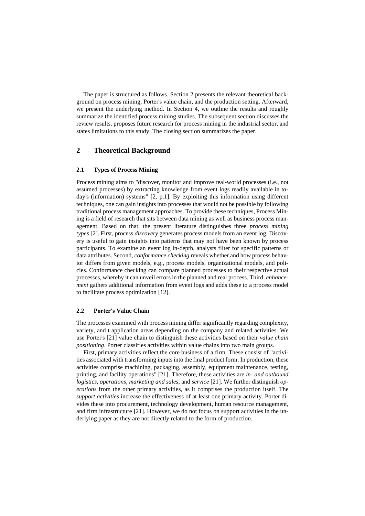The paper is structured as follows. Section 2 presents the relevant theoretical background on process mining, Porter's value chain, and the production setting. Afterward, we present the underlying method. In Section 4, we outline the results and roughly summarize the identified process mining studies. The subsequent section discusses the review results, proposes future research for process mining in the industrial sector, and states limitations to this study. The closing section summarizes the paper.

## **2 Theoretical Background**

#### **2.1 Types of Process Mining**

Process mining aims to "discover, monitor and improve real-world processes (i.e., not assumed processes) by extracting knowledge from event logs readily available in today's (information) systems" [2, p.1]. By exploiting this information using different techniques, one can gain insights into processes that would not be possible by following traditional process management approaches. To provide these techniques, Process Mining is a field of research that sits between data mining as well as business process management. Based on that, the present literature distinguishes three *process mining types* [2]. First, process *discovery* generates process models from an event log. Discovery is useful to gain insights into patterns that may not have been known by process participants. To examine an event log in-depth, analysts filter for specific patterns or data attributes. Second, *conformance checking* reveals whether and how process behavior differs from given models, e.g., process models, organizational models, and policies. Conformance checking can compare planned processes to their respective actual processes, whereby it can unveil errors in the planned and real process. Third, *enhancement* gathers additional information from event logs and adds these to a process model to facilitate process optimization [12].

#### **2.2 Porter's Value Chain**

The processes examined with process mining differ significantly regarding complexity, variety, and t application areas depending on the company and related activities. We use Porter's [\[21\]](#page-15-0) value chain to distinguish these activities based on their *value chain positioning*. Porter classifies activities within value chains into two main groups.

First, primary activities reflect the core business of a firm. These consist of "activities associated with transforming inputs into the final product form. In production, these activities comprise machining, packaging, assembly, equipment maintenance, testing, printing, and facility operations" [\[21\].](#page-15-0) Therefore, these activities are *in- and outbound logistics*, *operations*, *marketing and sales*, and *service* [\[21\].](#page-15-0) We further distinguish *operations* from the other primary activities, as it comprises the production itself. The *support activities* increase the effectiveness of at least one primary activity. Porter divides these into procurement, technology development, human resource management, and firm infrastructure [\[21\].](#page-15-0) However, we do not focus on support activities in the underlying paper as they are not directly related to the form of production.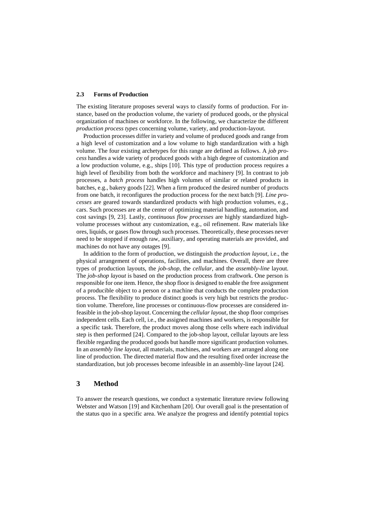#### **2.3 Forms of Production**

The existing literature proposes several ways to classify forms of production. For instance, based on the production volume, the variety of produced goods, or the physical organization of machines or workforce. In the following, we characterize the different *production process types* concerning volume, variety, and production-layout.

Production processes differ in variety and volume of produced goods and range from a high level of customization and a low volume to high standardization with a high volume. The four existing archetypes for this range are defined as follows. A *job process* handles a wide variety of produced goods with a high degree of customization and a low production volume, e.g., ships [\[10\].](#page-14-9) This type of production process requires a high level of flexibility from both the workforce and machinery [\[9\].](#page-14-8) In contrast to job processes, a *batch process* handles high volumes of similar or related products in batches, e.g., bakery goods [\[22\].](#page-15-1) When a firm produced the desired number of products from one batch, it reconfigures the production process for the next batch [\[9\].](#page-14-8) *Line processes* are geared towards standardized products with high production volumes, e.g., cars. Such processes are at the center of optimizing material handling, automation, and cost savings [\[9](#page-14-8)[, 23\].](#page-15-2) Lastly, *continuous flow processes* are highly standardized highvolume processes without any customization, e.g., oil refinement. Raw materials like ores, liquids, or gasesflow through such processes. Theoretically, these processes never need to be stopped if enough raw, auxiliary, and operating materials are provided, and machines do not have any outages [\[9\].](#page-14-8)

In addition to the form of production, we distinguish the *production layout*, i.e., the physical arrangement of operations, facilities, and machines. Overall, there are three types of production layouts, the *job-shop*, the *cellular*, and the *assembly-line* layout. The *job-shop layout* is based on the production process from craftwork. One person is responsible for one item. Hence, the shop floor is designed to enable the free assignment of a producible object to a person or a machine that conducts the complete production process. The flexibility to produce distinct goods is very high but restricts the production volume. Therefore, line processes or continuous-flow processes are considered infeasible in the job-shop layout. Concerning the *cellular layout*, the shop floor comprises independent cells. Each cell, i.e., the assigned machines and workers, is responsible for a specific task. Therefore, the product moves along those cells where each individual step is then performed [\[24\].](#page-15-3) Compared to the job-shop layout, cellular layouts are less flexible regarding the produced goods but handle more significant production volumes. In an *assembly line layout,* all materials, machines, and workers are arranged along one line of production. The directed material flow and the resulting fixed order increase the standardization, but job processes become infeasible in an assembly-line layout [\[24\].](#page-15-3)

#### **3 Method**

To answer the research questions, we conduct a systematic literature review following Webster and Watson [\[19\]](#page-14-18) and Kitchenha[m \[20\].](#page-14-19) Our overall goal is the presentation of the status quo in a specific area. We analyze the progress and identify potential topics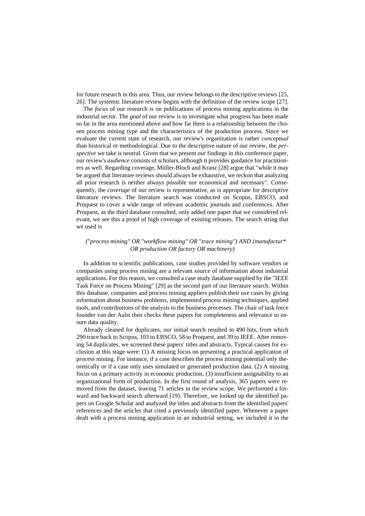for future research in this area. Thus, our review belongs to the descriptive reviews [\[25](#page-15-4)[,](#page-15-5)  [26\].](#page-15-5) The systemic literature review begins with the definition of the review scope [\[27\].](#page-15-6)

The *focus* of our research is on publications of process mining applications in the industrial sector. The *goal* of our review is to investigate what progress has been made so far in the area mentioned above and how far there is a relationship between the chosen process mining type and the characteristics of the production process. Since we evaluate the current state of research, our review's organization is rather *conceptual* than historical or methodological. Due to the descriptive nature of our review, the *perspective* we take is neutral. Given that we present our findings in this conference paper, our review's *audience* consists of scholars, although it provides guidance for practitioners as well. Regarding coverage, Müller-Bloch and Kranz [\[28\]](#page-15-7) argue that "while it may be argued that literature reviews should always be exhaustive, we reckon that analyzing all prior research is neither always possible nor economical and necessary". Consequently, the *coverage* of our review is representative, as is appropriate for descriptive literature reviews. The literature search was conducted on Scopus, EBSCO, and Proquest to cover a wide range of relevant academic journals and conferences. After Proquest, as the third database consulted, only added one paper that we considered relevant, we see this a proof of high coverage of existing releases. The search string that we used is

#### *(*"*process mining" OR* "*workflow mining" OR* "*trace mining") AND (manufactur\* OR production OR factory OR machinery)*

In addition to scientific publications, case studies provided by software vendors or companies using process mining are a relevant source of information about industrial applications. For this reason, we consulted a case study database supplied by the "IEEE Task Force on Process Mining" [\[29\]](#page-15-8) as the second part of our literature search. Within this database, companies and process mining appliers publish their use cases by giving information about business problems, implemented process mining techniques, applied tools, and contributions of the analysis to the business processes. The chair of task force founder van der Aalst then checks these papers for completeness and relevance to ensure data quality.

Already cleaned for duplicates, our initial search resulted in 490 hits, from which 290 trace back to Scopus, 103 to EBSCO, 58 to Proquest, and 39 to IEEE. After removing 54 duplicates, we screened these papers' titles and abstracts. Typical causes for exclusion at this stage were: (1) A missing focus on presenting a practical application of process mining. For instance, if a case describes the process mining potential only theoretically or if a case only uses simulated or generated production data. (2) A missing focus on a primary activity in economic production, (3) insufficient assignability to an organizational form of production. In the first round of analysis, 365 papers were removed from the dataset, leaving 71 articles in the review scope. We performed a forward and backward search afterward [\[19\].](#page-14-18) Therefore, we looked up the identified papers on Google Scholar and analyzed the titles and abstracts from the identified papers' references and the articles that cited a previously identified paper. Whenever a paper dealt with a process mining application in an industrial setting, we included it in the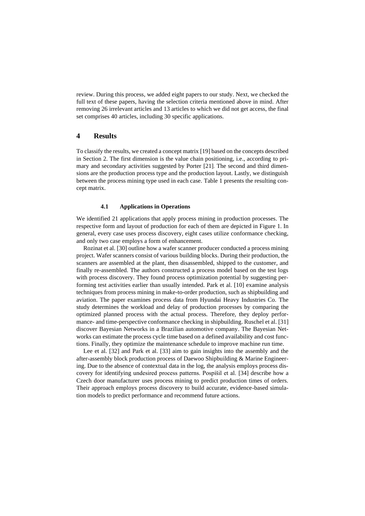review. During this process, we added eight papers to our study. Next, we checked the full text of these papers, having the selection criteria mentioned above in mind. After removing 26 irrelevant articles and 13 articles to which we did not get access, the final set comprises 40 articles, including 30 specific applications.

#### **4 Results**

To classify the results, we created a concept matri[x \[19\]](#page-14-18) based on the concepts described in Section 2. The first dimension is the value chain positioning, i.e., according to primary and secondary activities suggested by Porter [\[21\]](#page-15-0). The second and third dimensions are the production process type and the production layout. Lastly, we distinguish between the process mining type used in each case. [Table 1](#page-7-0) presents the resulting concept matrix.

#### **4.1 Applications in Operations**

We identified 21 applications that apply process mining in production processes. The respective form and layout of production for each of them are depicted in [Figure 1.](#page-8-0) In general, every case uses process discovery, eight cases utilize conformance checking, and only two case employs a form of enhancement.

Rozinat et al[. \[30\]](#page-15-9) outline how a wafer scanner producer conducted a process mining project. Wafer scanners consist of various building blocks. During their production, the scanners are assembled at the plant, then disassembled, shipped to the customer, and finally re-assembled. The authors constructed a process model based on the test logs with process discovery. They found process optimization potential by suggesting performing test activities earlier than usually intended. Park et al. [\[10\]](#page-14-9) examine analysis techniques from process mining in make-to-order production, such as shipbuilding and aviation. The paper examines process data from Hyundai Heavy Industries Co. The study determines the workload and delay of production processes by comparing the optimized planned process with the actual process. Therefore, they deploy performance- and time-perspective conformance checking in shipbuilding. Ruschel et al. [\[31\]](#page-15-10) discover Bayesian Networks in a Brazilian automotive company. The Bayesian Networks can estimate the process cycle time based on a defined availability and cost functions. Finally, they optimize the maintenance schedule to improve machine run time.

Lee et al. [\[32\]](#page-15-11) and Park et al. [\[33\]](#page-15-12) aim to gain insights into the assembly and the after-assembly block production process of Daewoo Shipbuilding & Marine Engineering. Due to the absence of contextual data in the log, the analysis employs process discovery for identifying undesired process patterns. Pospíšil et al. [\[34\]](#page-15-13) describe how a Czech door manufacturer uses process mining to predict production times of orders. Their approach employs process discovery to build accurate, evidence-based simulation models to predict performance and recommend future actions.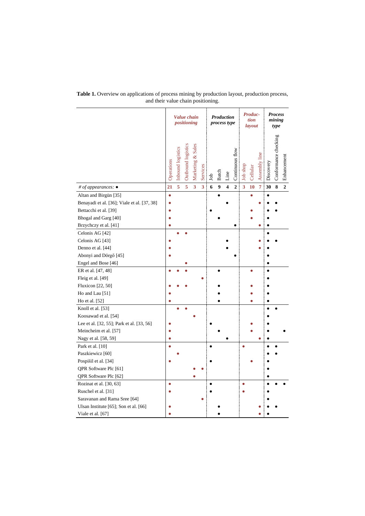|                                             | Value chain<br>positioning |                   |                    |                         |                         | Production<br>process type |       |                          |                 | Produc-<br>tion<br>layout |          |                | <b>Process</b><br>mining<br>type |                      |                |
|---------------------------------------------|----------------------------|-------------------|--------------------|-------------------------|-------------------------|----------------------------|-------|--------------------------|-----------------|---------------------------|----------|----------------|----------------------------------|----------------------|----------------|
|                                             | Operations                 | Inbound logistics | Outbound logistics | Marketing & Sales       | Services                | Job                        | Batch | $\mathop{\mathrm{Line}}$ | Continuous flow | Job shop                  | Cellular | Assembly line  | Discovery                        | Conformance checking | Enhancement    |
| # of appearances: $\bullet$                 | $\overline{21}$            | $\overline{5}$    | $\overline{5}$     | $\overline{\mathbf{3}}$ | $\overline{\mathbf{3}}$ | 6                          | 9     | 4                        | $\overline{2}$  | $\overline{\mathbf{3}}$   | 10       | $\overline{7}$ | 30                               | 8                    | $\overline{2}$ |
| Altan and Birgün [35]                       |                            |                   |                    |                         |                         |                            |       |                          |                 |                           |          |                |                                  |                      |                |
| Benayadi et al. [36]; Viale et al. [37, 38] |                            |                   |                    |                         |                         |                            |       |                          |                 |                           |          |                |                                  |                      |                |
| Bettacchi et al. [39]                       |                            |                   |                    |                         |                         |                            |       |                          |                 |                           |          |                |                                  |                      |                |
| Bhogal and Garg [40]                        |                            |                   |                    |                         |                         |                            |       |                          |                 |                           |          |                |                                  |                      |                |
| Brzychczy et al. [41]                       |                            |                   |                    |                         |                         |                            |       |                          |                 |                           |          |                |                                  |                      |                |
| Celonis AG [42]                             |                            |                   |                    |                         |                         |                            |       |                          |                 |                           |          |                |                                  |                      |                |
| Celonis AG [43]                             |                            |                   |                    |                         |                         |                            |       |                          |                 |                           |          |                |                                  |                      |                |
| Denno et al. [44]                           |                            |                   |                    |                         |                         |                            |       |                          |                 |                           |          |                |                                  |                      |                |
| Abonyi and Dörgő [45]                       |                            |                   |                    |                         |                         |                            |       |                          |                 |                           |          |                |                                  |                      |                |
| Engel and Bose [46]                         |                            |                   |                    |                         |                         |                            |       |                          |                 |                           |          |                |                                  |                      |                |
| ER et al. [47, 48]                          |                            |                   |                    |                         |                         |                            |       |                          |                 |                           |          |                |                                  |                      |                |
| Fleig et al. [49]                           |                            |                   |                    |                         |                         |                            |       |                          |                 |                           |          |                |                                  |                      |                |
| Fluxicon [22, 50]                           |                            |                   |                    |                         |                         |                            |       |                          |                 |                           |          |                |                                  |                      |                |
| Ho and Lau [51]                             |                            |                   |                    |                         |                         |                            |       |                          |                 |                           |          |                |                                  |                      |                |
| Ho et al. [52]                              |                            |                   |                    |                         |                         |                            |       |                          |                 |                           |          |                |                                  |                      |                |
| Knoll et al. [53]                           |                            |                   |                    |                         |                         |                            |       |                          |                 |                           |          |                |                                  |                      |                |
| Koosawad et al. [54]                        |                            |                   |                    |                         |                         |                            |       |                          |                 |                           |          |                |                                  |                      |                |
| Lee et al. [32, 55]; Park et al. [33, 56]   |                            |                   |                    |                         |                         |                            |       |                          |                 |                           |          |                |                                  |                      |                |
| Meincheim et al. [57]                       |                            |                   |                    |                         |                         |                            |       |                          |                 |                           |          |                |                                  |                      |                |
| Nagy et al. [58, 59]                        |                            |                   |                    |                         |                         |                            |       |                          |                 |                           |          |                |                                  |                      |                |
| Park et al. [10]                            |                            |                   |                    |                         |                         |                            |       |                          |                 |                           |          |                |                                  |                      |                |
| Paszkiewicz [60]                            |                            |                   |                    |                         |                         |                            |       |                          |                 |                           |          |                |                                  |                      |                |
| Pospíšil et al. [34]                        |                            |                   |                    |                         |                         |                            |       |                          |                 |                           |          |                |                                  |                      |                |
| QPR Software Plc [61]                       |                            |                   |                    |                         |                         |                            |       |                          |                 |                           |          |                |                                  |                      |                |
| QPR Software Plc [62]                       |                            |                   |                    |                         |                         |                            |       |                          |                 |                           |          |                |                                  |                      |                |
| Rozinat et al. [30, 63]                     |                            |                   |                    |                         |                         |                            |       |                          |                 |                           |          |                |                                  |                      |                |
| Ruschel et al. [31]                         |                            |                   |                    |                         |                         |                            |       |                          |                 |                           |          |                |                                  |                      |                |
| Saravanan and Rama Sree [64]                |                            |                   |                    |                         |                         |                            |       |                          |                 |                           |          |                |                                  |                      |                |
| Ulsan Institute [65]; Son et al. [66]       |                            |                   |                    |                         |                         |                            |       |                          |                 |                           |          |                |                                  |                      |                |
| Viale et al. [67]                           |                            |                   |                    |                         |                         |                            |       |                          |                 |                           |          |                |                                  |                      |                |

<span id="page-7-0"></span>**Table 1.** Overview on applications of process mining by production layout, production process, and their value chain positioning.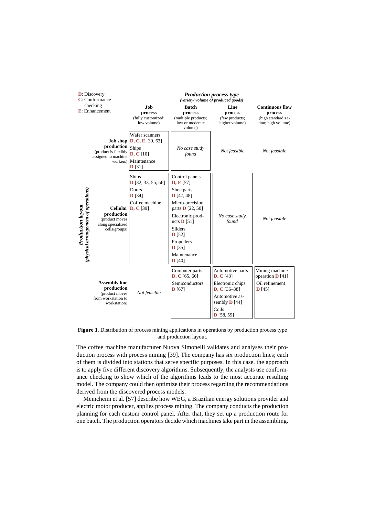

<span id="page-8-0"></span>**Figure 1.** Distribution of process mining applications in operations by production process type and production layout.

The coffee machine manufacturer Nuova Simonelli validates and analyses their production process with process mining [\[39\].](#page-15-18) The company has six production lines; each of them is divided into stations that serve specific purposes. In this case, the approach is to apply five different discovery algorithms. Subsequently, the analysts use conformance checking to show which of the algorithms leads to the most accurate resulting model. The company could then optimize their process regarding the recommendations derived from the discovered process models.

Meincheim et al. [\[57\]](#page-16-17) describe how WEG, a Brazilian energy solutions provider and electric motor producer, applies process mining. The company conducts the production planning for each custom control panel. After that, they set up a production route for one batch. The production operators decide which machines take part in the assembling.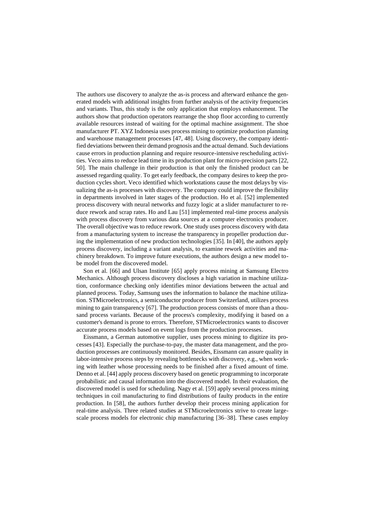The authors use discovery to analyze the as-is process and afterward enhance the generated models with additional insights from further analysis of the activity frequencies and variants. Thus, this study is the only application that employs enhancement. The authors show that production operators rearrange the shop floor according to currently available resources instead of waiting for the optimal machine assignment. The shoe manufacturer PT. XYZ Indonesia uses process mining to optimize production planning and warehouse management processes [\[47](#page-16-7)[, 48\].](#page-16-8) Using discovery, the company identified deviations between their demand prognosis and the actual demand. Such deviations cause errors in production planning and require resource-intensive rescheduling activities. Veco aims to reduce lead time in its production plant for micro-precision parts [\[22](#page-15-1)[,](#page-16-10)  [50\].](#page-16-10) The main challenge in their production is that only the finished product can be assessed regarding quality. To get early feedback, the company desires to keep the production cycles short. Veco identified which workstations cause the most delays by visualizing the as-is processes with discovery. The company could improve the flexibility in departments involved in later stages of the production. Ho et al. [\[52\]](#page-16-12) implemented process discovery with neural networks and fuzzy logic at a slider manufacturer to reduce rework and scrap rates. Ho and Lau [\[51\]](#page-16-11) implemented real-time process analysis with process discovery from various data sources at a computer electronics producer. The overall objective was to reduce rework. One study uses process discovery with data from a manufacturing system to increase the transparency in propeller production during the implementation of new production technologies [\[35\].](#page-15-14) I[n \[40\],](#page-16-0) the authors apply process discovery, including a variant analysis, to examine rework activities and machinery breakdown. To improve future executions, the authors design a new model tobe model from the discovered model.

Son et al. [\[66\]](#page-17-8) and Ulsan Institute [\[65\]](#page-17-7) apply process mining at Samsung Electro Mechanics. Although process discovery discloses a high variation in machine utilization, conformance checking only identifies minor deviations between the actual and planned process. Today, Samsung uses the information to balance the machine utilization. STMicroelectronics, a semiconductor producer from Switzerland, utilizes process mining to gain transparency [\[67\].](#page-17-9) The production process consists of more than a thousand process variants. Because of the process's complexity, modifying it based on a customer's demand is prone to errors. Therefore, STMicroelectronics wants to discover accurate process models based on event logs from the production processes.

Eissmann, a German automotive supplier, uses process mining to digitize its processes [\[43\].](#page-16-3) Especially the purchase-to-pay, the master data management, and the production processes are continuously monitored. Besides, Eissmann can assure quality in labor-intensive process steps by revealing bottlenecks with discovery, e.g., when working with leather whose processing needs to be finished after a fixed amount of time. Denno et al[. \[44\]](#page-16-4) apply process discovery based on genetic programming to incorporate probabilistic and causal information into the discovered model. In their evaluation, the discovered model is used for scheduling. Nagy et al[. \[59\]](#page-17-1) apply several process mining techniques in coil manufacturing to find distributions of faulty products in the entire production. In [\[58\],](#page-17-0) the authors further develop their process mining application for real-time analysis. Three related studies at STMicroelectronics strive to create largescale process models for electronic chip manufacturing [\[36](#page-15-15)[–38\].](#page-15-17) These cases employ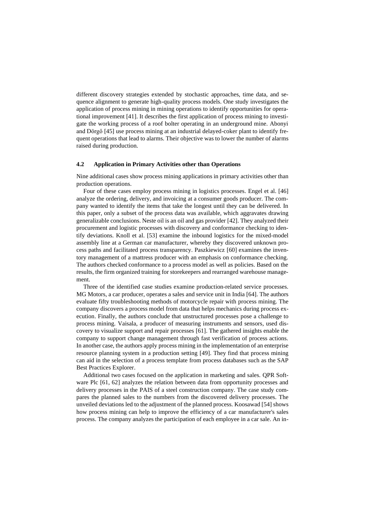different discovery strategies extended by stochastic approaches, time data, and sequence alignment to generate high-quality process models. One study investigates the application of process mining in mining operations to identify opportunities for operational improvement [\[41\].](#page-16-1) It describes the first application of process mining to investigate the working process of a roof bolter operating in an underground mine. Abonyi and Dörgő [\[45\]](#page-16-5) use process mining at an industrial delayed-coker plant to identify frequent operations that lead to alarms. Their objective was to lower the number of alarms raised during production.

#### **4.2 Application in Primary Activities other than Operations**

Nine additional cases show process mining applications in primary activities other than production operations.

Four of these cases employ process mining in logistics processes. Engel et al. [\[46\]](#page-16-6) analyze the ordering, delivery, and invoicing at a consumer goods producer. The company wanted to identify the items that take the longest until they can be delivered. In this paper, only a subset of the process data was available, which aggravates drawing generalizable conclusions. Neste oil is an oil and gas provide[r \[42\].](#page-16-2) They analyzed their procurement and logistic processes with discovery and conformance checking to identify deviations. Knoll et al. [\[53\]](#page-16-13) examine the inbound logistics for the mixed-model assembly line at a German car manufacturer, whereby they discovered unknown process paths and facilitated process transparency. Paszkiewicz [\[60\]](#page-17-2) examines the inventory management of a mattress producer with an emphasis on conformance checking. The authors checked conformance to a process model as well as policies. Based on the results, the firm organized training for storekeepers and rearranged warehouse management.

Three of the identified case studies examine production-related service processes. MG Motors, a car producer, operates a sales and service unit in India [\[64\].](#page-17-6) The authors evaluate fifty troubleshooting methods of motorcycle repair with process mining. The company discovers a process model from data that helps mechanics during process execution. Finally, the authors conclude that unstructured processes pose a challenge to process mining. Vaisala, a producer of measuring instruments and sensors, used discovery to visualize support and repair processes [\[61\].](#page-17-3) The gathered insights enable the company to support change management through fast verification of process actions. In another case, the authors apply process mining in the implementation of an enterprise resource planning system in a production setting [\[49\].](#page-16-9) They find that process mining can aid in the selection of a process template from process databases such as the SAP Best Practices Explorer.

Additional two cases focused on the application in marketing and sales. QPR Software Plc [\[61](#page-17-3)[, 62\]](#page-17-4) analyzes the relation between data from opportunity processes and delivery processes in the PAIS of a steel construction company. The case study compares the planned sales to the numbers from the discovered delivery processes. The unveiled deviations led to the adjustment of the planned process. Koosawad [\[54\]](#page-16-14) shows how process mining can help to improve the efficiency of a car manufacturer's sales process. The company analyzes the participation of each employee in a car sale. An in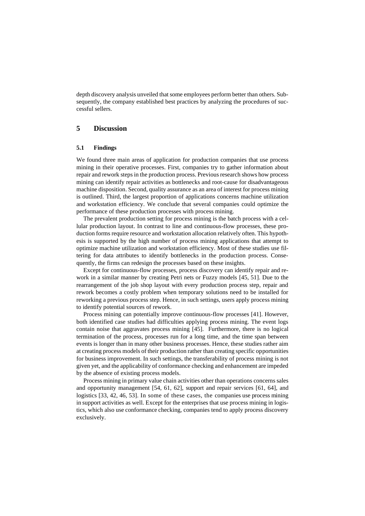depth discovery analysis unveiled that some employees perform better than others. Subsequently, the company established best practices by analyzing the procedures of successful sellers.

#### **5 Discussion**

#### **5.1 Findings**

We found three main areas of application for production companies that use process mining in their operative processes. First, companies try to gather information about repair and rework steps in the production process. Previous research shows how process mining can identify repair activities as bottlenecks and root-cause for disadvantageous machine disposition. Second, quality assurance as an area of interest for process mining is outlined. Third, the largest proportion of applications concerns machine utilization and workstation efficiency. We conclude that several companies could optimize the performance of these production processes with process mining.

The prevalent production setting for process mining is the batch process with a cellular production layout. In contrast to line and continuous-flow processes, these production forms require resource and workstation allocation relatively often. This hypothesis is supported by the high number of process mining applications that attempt to optimize machine utilization and workstation efficiency. Most of these studies use filtering for data attributes to identify bottlenecks in the production process. Consequently, the firms can redesign the processes based on these insights.

Except for continuous-flow processes, process discovery can identify repair and rework in a similar manner by creating Petri nets or Fuzzy models [\[45](#page-16-5)[, 51\].](#page-16-11) Due to the rearrangement of the job shop layout with every production process step, repair and rework becomes a costly problem when temporary solutions need to be installed for reworking a previous process step. Hence, in such settings, users apply process mining to identify potential sources of rework.

Process mining can potentially improve continuous-flow processes [\[41\].](#page-16-1) However, both identified case studies had difficulties applying process mining. The event logs contain noise that aggravates process mining [\[45\].](#page-16-5) Furthermore, there is no logical termination of the process, processes run for a long time, and the time span between events is longer than in many other business processes. Hence, these studies rather aim at creating process models of their production rather than creating specific opportunities for business improvement. In such settings, the transferability of process mining is not given yet, and the applicability of conformance checking and enhancement are impeded by the absence of existing process models.

Process mining in primary value chain activities other than operations concerns sales and opportunity management [54, 61, 62], support and repair services [\[61](#page-17-3)[, 64\],](#page-17-6) and logistics [\[33](#page-15-12)[, 42](#page-16-2)[, 46](#page-16-6)[, 53\].](#page-16-13) In some of these cases, the companies use process mining in support activities as well. Except for the enterprises that use process mining in logistics, which also use conformance checking, companies tend to apply process discovery exclusively.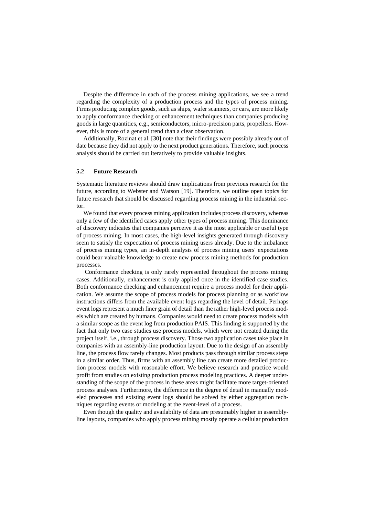Despite the difference in each of the process mining applications, we see a trend regarding the complexity of a production process and the types of process mining. Firms producing complex goods, such as ships, wafer scanners, or cars, are more likely to apply conformance checking or enhancement techniques than companies producing goods in large quantities, e.g., semiconductors, micro-precision parts, propellers. However, this is more of a general trend than a clear observation.

Additionally, Rozinat et al[. \[30\]](#page-15-9) note that their findings were possibly already out of date because they did not apply to the next product generations. Therefore, such process analysis should be carried out iteratively to provide valuable insights.

#### **5.2 Future Research**

Systematic literature reviews should draw implications from previous research for the future, according to Webster and Watson [\[19\].](#page-14-18) Therefore, we outline open topics for future research that should be discussed regarding process mining in the industrial sector.

We found that every process mining application includes process discovery, whereas only a few of the identified cases apply other types of process mining. This dominance of discovery indicates that companies perceive it as the most applicable or useful type of process mining. In most cases, the high-level insights generated through discovery seem to satisfy the expectation of process mining users already. Due to the imbalance of process mining types, an in-depth analysis of process mining users' expectations could bear valuable knowledge to create new process mining methods for production processes.

Conformance checking is only rarely represented throughout the process mining cases. Additionally, enhancement is only applied once in the identified case studies. Both conformance checking and enhancement require a process model for their application. We assume the scope of process models for process planning or as workflow instructions differs from the available event logs regarding the level of detail. Perhaps event logs represent a much finer grain of detail than the rather high-level process models which are created by humans. Companies would need to create process models with a similar scope as the event log from production PAIS. This finding is supported by the fact that only two case studies use process models, which were not created during the project itself, i.e., through process discovery. Those two application cases take place in companies with an assembly-line production layout. Due to the design of an assembly line, the process flow rarely changes. Most products pass through similar process steps in a similar order. Thus, firms with an assembly line can create more detailed production process models with reasonable effort. We believe research and practice would profit from studies on existing production process modeling practices. A deeper understanding of the scope of the process in these areas might facilitate more target-oriented process analyses. Furthermore, the difference in the degree of detail in manually modeled processes and existing event logs should be solved by either aggregation techniques regarding events or modeling at the event-level of a process.

Even though the quality and availability of data are presumably higher in assemblyline layouts, companies who apply process mining mostly operate a cellular production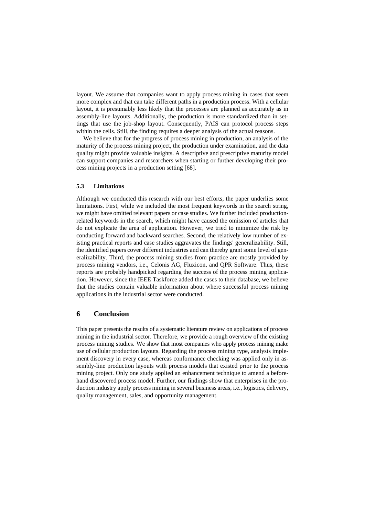layout. We assume that companies want to apply process mining in cases that seem more complex and that can take different paths in a production process. With a cellular layout, it is presumably less likely that the processes are planned as accurately as in assembly-line layouts. Additionally, the production is more standardized than in settings that use the job-shop layout. Consequently, PAIS can protocol process steps within the cells. Still, the finding requires a deeper analysis of the actual reasons.

We believe that for the progress of process mining in production, an analysis of the maturity of the process mining project, the production under examination, and the data quality might provide valuable insights. A descriptive and prescriptive maturity model can support companies and researchers when starting or further developing their process mining projects in a production setting [\[68\].](#page-17-10)

#### **5.3 Limitations**

Although we conducted this research with our best efforts, the paper underlies some limitations. First, while we included the most frequent keywords in the search string, we might have omitted relevant papers or case studies. We further included productionrelated keywords in the search, which might have caused the omission of articles that do not explicate the area of application. However, we tried to minimize the risk by conducting forward and backward searches. Second, the relatively low number of existing practical reports and case studies aggravates the findings' generalizability. Still, the identified papers cover different industries and can thereby grant some level of generalizability. Third, the process mining studies from practice are mostly provided by process mining vendors, i.e., Celonis AG, Fluxicon, and QPR Software. Thus, these reports are probably handpicked regarding the success of the process mining application. However, since the IEEE Taskforce added the cases to their database, we believe that the studies contain valuable information about where successful process mining applications in the industrial sector were conducted.

### **6 Conclusion**

This paper presents the results of a systematic literature review on applications of process mining in the industrial sector. Therefore, we provide a rough overview of the existing process mining studies. We show that most companies who apply process mining make use of cellular production layouts. Regarding the process mining type, analysts implement discovery in every case, whereas conformance checking was applied only in assembly-line production layouts with process models that existed prior to the process mining project. Only one study applied an enhancement technique to amend a beforehand discovered process model. Further, our findings show that enterprises in the production industry apply process mining in several business areas, i.e., logistics, delivery, quality management, sales, and opportunity management.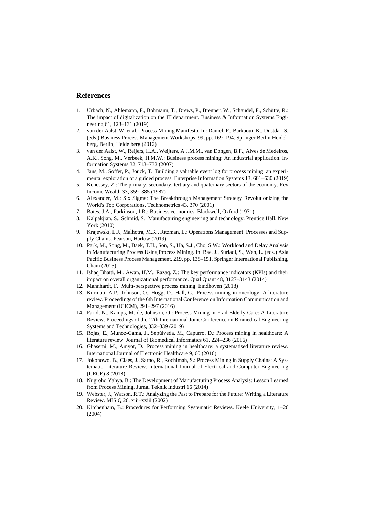### **References**

- <span id="page-14-0"></span>1. Urbach, N., Ahlemann, F., Böhmann, T., Drews, P., Brenner, W., Schaudel, F., Schütte, R.: The impact of digitalization on the IT department. Business & Information Systems Engineering 61, 123–131 (2019)
- <span id="page-14-1"></span>2. van der Aalst, W. et al.: Process Mining Manifesto. In: Daniel, F., Barkaoui, K., Dustdar, S. (eds.) Business Process Management Workshops, 99, pp. 169–194. Springer Berlin Heidelberg, Berlin, Heidelberg (2012)
- <span id="page-14-2"></span>3. van der Aalst, W., Reijers, H.A., Weijters, A.J.M.M., van Dongen, B.F., Alves de Medeiros, A.K., Song, M., Verbeek, H.M.W.: Business process mining: An industrial application. Information Systems 32, 713–732 (2007)
- <span id="page-14-3"></span>4. Jans, M., Soffer, P., Jouck, T.: Building a valuable event log for process mining: an experimental exploration of a guided process. Enterprise Information Systems 13, 601–630 (2019)
- <span id="page-14-4"></span>5. Kenessey, Z.: The primary, secondary, tertiary and quaternary sectors of the economy. Rev Income Wealth 33, 359–385 (1987)
- <span id="page-14-5"></span>6. Alexander, M.: Six Sigma: The Breakthrough Management Strategy Revolutionizing the World's Top Corporations. Technometrics 43, 370 (2001)
- <span id="page-14-6"></span>7. Bates, J.A., Parkinson, J.R.: Business economics. Blackwell, Oxford (1971)
- <span id="page-14-7"></span>8. Kalpakjian, S., Schmid, S.: Manufacturing engineering and technology. Prentice Hall, New York (2010)
- <span id="page-14-8"></span>9. Krajewski, L.J., Malhotra, M.K., Ritzman, L.: Operations Management: Processes and Supply Chains. Pearson, Harlow (2019)
- <span id="page-14-9"></span>10. Park, M., Song, M., Baek, T.H., Son, S., Ha, S.J., Cho, S.W.: Workload and Delay Analysis in Manufacturing Process Using Process Mining. In: Bae, J., Suriadi, S., Wen, L. (eds.) Asia Pacific Business Process Management, 219, pp. 138–151. Springer International Publishing, Cham (2015)
- <span id="page-14-10"></span>11. Ishaq Bhatti, M., Awan, H.M., Razaq, Z.: The key performance indicators (KPIs) and their impact on overall organizational performance. Qual Quant 48, 3127–3143 (2014)
- <span id="page-14-11"></span>12. Mannhardt, F.: Multi-perspective process mining. Eindhoven (2018)
- <span id="page-14-12"></span>13. Kurniati, A.P., Johnson, O., Hogg, D., Hall, G.: Process mining in oncology: A literature review. Proceedings of the 6th International Conference on Information Communication and Management (ICICM), 291–297 (2016)
- <span id="page-14-13"></span>14. Farid, N., Kamps, M. de, Johnson, O.: Process Mining in Frail Elderly Care: A Literature Review. Proceedings of the 12th International Joint Conference on Biomedical Engineering Systems and Technologies, 332–339 (2019)
- <span id="page-14-14"></span>15. Rojas, E., Munoz-Gama, J., Sepúlveda, M., Capurro, D.: Process mining in healthcare: A literature review. Journal of Biomedical Informatics 61, 224–236 (2016)
- <span id="page-14-15"></span>16. Ghasemi, M., Amyot, D.: Process mining in healthcare: a systematised literature review. International Journal of Electronic Healthcare 9, 60 (2016)
- <span id="page-14-16"></span>17. Jokonowo, B., Claes, J., Sarno, R., Rochimah, S.: Process Mining in Supply Chains: A Systematic Literature Review. International Journal of Electrical and Computer Engineering (IJECE) 8 (2018)
- <span id="page-14-17"></span>18. Nugroho Yahya, B.: The Development of Manufacturing Process Analysis: Lesson Learned from Process Mining. Jurnal Teknik Industri 16 (2014)
- <span id="page-14-18"></span>19. Webster, J., Watson, R.T.: Analyzing the Past to Prepare for the Future: Writing a Literature Review. MIS Q 26, xiii–xxiii (2002)
- <span id="page-14-19"></span>20. Kitchenham, B.: Procedures for Performing Systematic Reviews. Keele University, 1–26 (2004)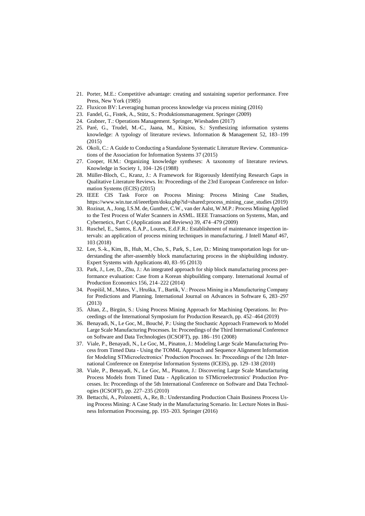- <span id="page-15-0"></span>21. Porter, M.E.: Competitive advantage: creating and sustaining superior performance. Free Press, New York (1985)
- <span id="page-15-1"></span>22. Fluxicon BV: Leveraging human process knowledge via process mining (2016)
- <span id="page-15-2"></span>23. Fandel, G., Fistek, A., Stütz, S.: Produktionsmanagement. Springer (2009)
- <span id="page-15-3"></span>24. Grabner, T.: Operations Management. Springer, Wiesbaden (2017)
- <span id="page-15-4"></span>25. Paré, G., Trudel, M.-C., Jaana, M., Kitsiou, S.: Synthesizing information systems knowledge: A typology of literature reviews. Information & Management 52, 183–199 (2015)
- <span id="page-15-5"></span>26. Okoli, C.: A Guide to Conducting a Standalone Systematic Literature Review. Communications of the Association for Information Systems 37 (2015)
- <span id="page-15-6"></span>27. Cooper, H.M.: Organizing knowledge syntheses: A taxonomy of literature reviews. Knowledge in Society 1, 104–126 (1988)
- <span id="page-15-7"></span>28. Müller-Bloch, C., Kranz, J.: A Framework for Rigorously Identifying Research Gaps in Qualitative Literature Reviews. In: Proceedings of the 23rd European Conference on Information Systems (ECIS) (2015)
- <span id="page-15-8"></span>29. IEEE CIS Task Force on Process Mining: Process Mining Case Studies, https://www.win.tue.nl/ieeetfpm/doku.php?id=shared:process\_mining\_case\_studies (2019)
- <span id="page-15-9"></span>30. Rozinat, A., Jong, I.S.M. de, Gunther, C.W., van der Aalst, W.M.P.: Process Mining Applied to the Test Process of Wafer Scanners in ASML. IEEE Transactions on Systems, Man, and Cybernetics, Part C (Applications and Reviews) 39, 474–479 (2009)
- <span id="page-15-10"></span>31. Ruschel, E., Santos, E.A.P., Loures, E.d.F.R.: Establishment of maintenance inspection intervals: an application of process mining techniques in manufacturing. J Intell Manuf 467, 103 (2018)
- <span id="page-15-11"></span>32. Lee, S.-k., Kim, B., Huh, M., Cho, S., Park, S., Lee, D.: Mining transportation logs for understanding the after-assembly block manufacturing process in the shipbuilding industry. Expert Systems with Applications 40, 83–95 (2013)
- <span id="page-15-12"></span>33. Park, J., Lee, D., Zhu, J.: An integrated approach for ship block manufacturing process performance evaluation: Case from a Korean shipbuilding company. International Journal of Production Economics 156, 214–222 (2014)
- <span id="page-15-13"></span>34. Pospíšil, M., Mates, V., Hruška, T., Bartík, V.: Process Mining in a Manufacturing Company for Predictions and Planning. International Journal on Advances in Software 6, 283–297 (2013)
- <span id="page-15-14"></span>35. Altan, Z., Birgün, S.: Using Process Mining Approach for Machining Operations. In: Proceedings of the International Symposium for Production Research, pp. 452–464 (2019)
- <span id="page-15-15"></span>36. Benayadi, N., Le Goc, M., Bouché, P.: Using the Stochastic Approach Framework to Model Large Scale Manufacturing Processes. In: Proceedings of the Third International Conference on Software and Data Technologies (ICSOFT), pp. 186–191 (2008)
- <span id="page-15-16"></span>37. Viale, P., Benayadi, N., Le Goc, M., Pinaton, J.: Modeling Large Scale Manufacturing Process from Timed Data - Using the TOM4L Approach and Sequence Alignment Information for Modeling STMicroelectronics' Production Processes. In: Proceedings of the 12th International Conference on Enterprise Information Systems (ICEIS), pp. 129–138 (2010)
- <span id="page-15-17"></span>38. Viale, P., Benayadi, N., Le Goc, M., Pinaton, J.: Discovering Large Scale Manufacturing Process Models from Timed Data - Application to STMicroelectronics' Production Processes. In: Proceedings of the 5th International Conference on Software and Data Technologies (ICSOFT), pp. 227–235 (2010)
- <span id="page-15-18"></span>39. Bettacchi, A., Polzonetti, A., Re, B.: Understanding Production Chain Business Process Using Process Mining: A Case Study in the Manufacturing Scenario. In: Lecture Notes in Business Information Processing, pp. 193–203. Springer (2016)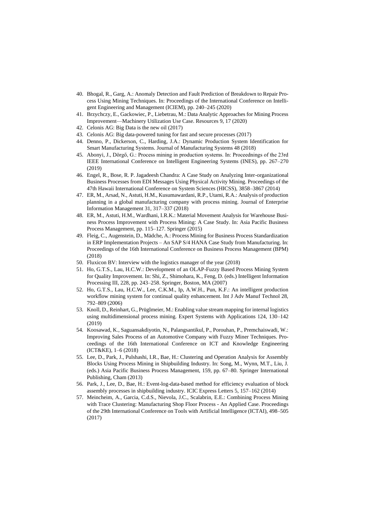- <span id="page-16-0"></span>40. Bhogal, R., Garg, A.: Anomaly Detection and Fault Prediction of Breakdown to Repair Process Using Mining Techniques. In: Proceedings of the International Conference on Intelligent Engineering and Management (ICIEM), pp. 240–245 (2020)
- <span id="page-16-1"></span>41. Brzychczy, E., Gackowiec, P., Liebetrau, M.: Data Analytic Approaches for Mining Process Improvement—Machinery Utilization Use Case. Resources 9, 17 (2020)
- <span id="page-16-2"></span>42. Celonis AG: Big Data is the new oil (2017)
- <span id="page-16-3"></span>43. Celonis AG: Big data-powered tuning for fast and secure processes (2017)
- <span id="page-16-4"></span>44. Denno, P., Dickerson, C., Harding, J.A.: Dynamic Production System Identification for Smart Manufacturing Systems. Journal of Manufacturing Systems 48 (2018)
- <span id="page-16-5"></span>45. Abonyi, J., Dörgő, G.: Process mining in production systems. In: Proceednings of the 23rd IEEE International Conference on Intelligent Engineering Systems (INES), pp. 267–270 (2019)
- <span id="page-16-6"></span>46. Engel, R., Bose, R. P. Jagadeesh Chandra: A Case Study on Analyzing Inter-organizational Business Processes from EDI Messages Using Physical Activity Mining. Proceedings of the 47th Hawaii International Conference on System Sciences (HICSS), 3858–3867 (2014)
- <span id="page-16-7"></span>47. ER, M., Arsad, N., Astuti, H.M., Kusumawardani, R.P., Utami, R.A.: Analysis of production planning in a global manufacturing company with process mining. Journal of Enterprise Information Management 31, 317–337 (2018)
- <span id="page-16-8"></span>48. ER, M., Astuti, H.M., Wardhani, I.R.K.: Material Movement Analysis for Warehouse Business Process Improvement with Process Mining: A Case Study. In: Asia Pacific Business Process Management, pp. 115–127. Springer (2015)
- <span id="page-16-9"></span>49. Fleig, C., Augenstein, D., Mädche, A.: Process Mining for Business Process Standardization in ERP Implementation Projects – An SAP S/4 HANA Case Study from Manufacturing. In: Proceedings of the 16th International Conference on Business Process Management (BPM) (2018)
- <span id="page-16-10"></span>50. Fluxicon BV: Interview with the logistics manager of the year (2018)
- <span id="page-16-11"></span>51. Ho, G.T.S., Lau, H.C.W.: Development of an OLAP-Fuzzy Based Process Mining System for Quality Improvement. In: Shi, Z., Shimohara, K., Feng, D. (eds.) Intelligent Information Processing III, 228, pp. 243–258. Springer, Boston, MA (2007)
- <span id="page-16-12"></span>52. Ho, G.T.S., Lau, H.C.W., Lee, C.K.M., Ip, A.W.H., Pun, K.F.: An intelligent production workflow mining system for continual quality enhancement. Int J Adv Manuf Technol 28, 792–809 (2006)
- <span id="page-16-13"></span>53. Knoll, D., Reinhart, G., Prüglmeier, M.: Enabling value stream mapping for internal logistics using multidimensional process mining. Expert Systems with Applications 124, 130–142 (2019)
- <span id="page-16-14"></span>54. Koosawad, K., Saguansakdiyotin, N., Palangsantikul, P., Porouhan, P., Premchaiswadi, W.: Improving Sales Process of an Automotive Company with Fuzzy Miner Techniques. Proceedings of the 16th International Conference on ICT and Knowledge Engineering (ICT&KE), 1–6 (2018)
- <span id="page-16-15"></span>55. Lee, D., Park, J., Pulshashi, I.R., Bae, H.: Clustering and Operation Analysis for Assembly Blocks Using Process Mining in Shipbuilding Industry. In: Song, M., Wynn, M.T., Liu, J. (eds.) Asia Pacific Business Process Management, 159, pp. 67–80. Springer International Publishing, Cham (2013)
- <span id="page-16-16"></span>56. Park, J., Lee, D., Bae, H.: Event-log-data-based method for efficiency evaluation of block assembly processes in shipbuilding industry. ICIC Express Letters 5, 157–162 (2014)
- <span id="page-16-17"></span>57. Meincheim, A., Garcia, C.d.S., Nievola, J.C., Scalabrin, E.E.: Combining Process Mining with Trace Clustering: Manufacturing Shop Floor Process - An Applied Case. Proceedings of the 29th International Conference on Tools with Artificial Intelligence (ICTAI), 498–505 (2017)